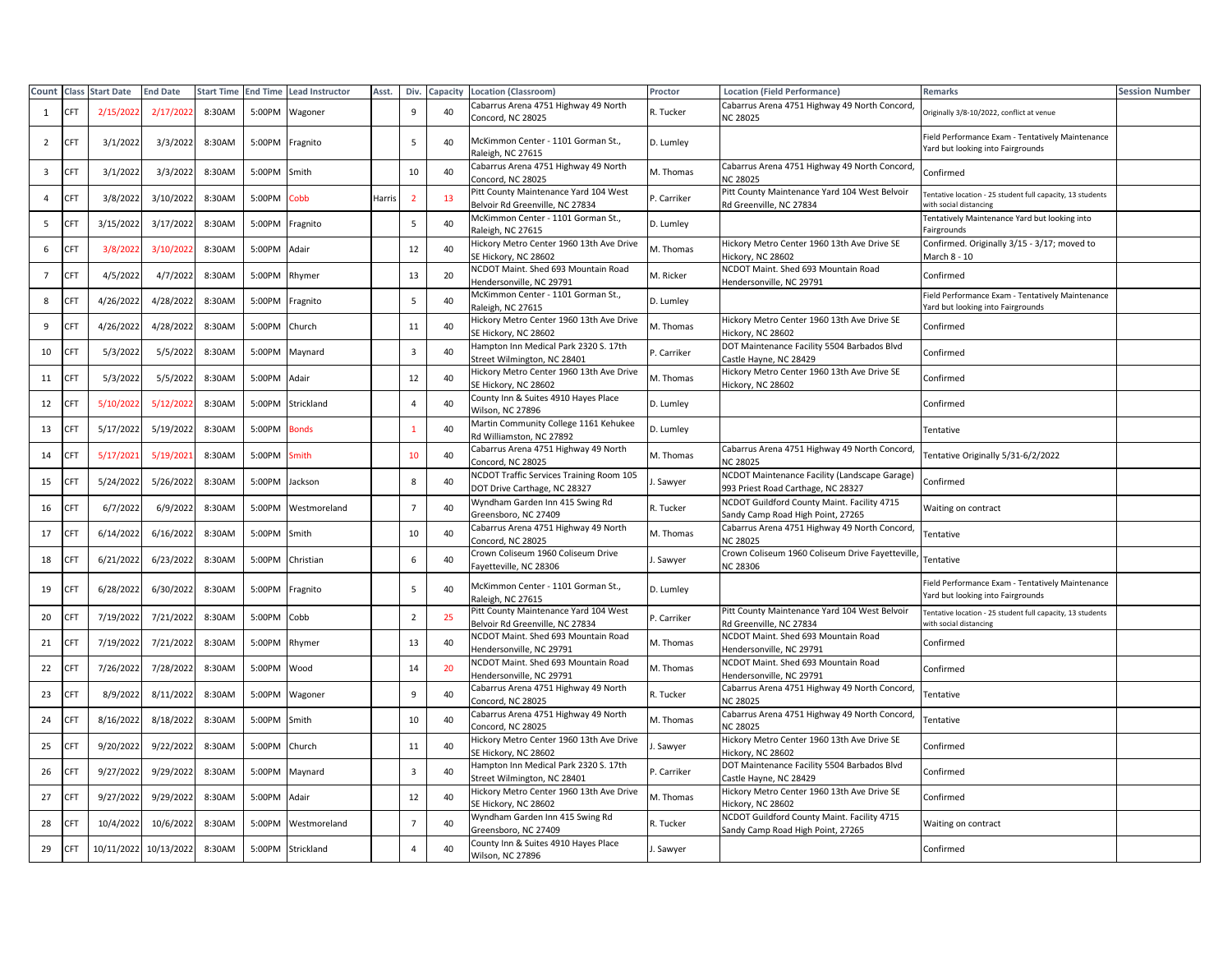| Count                   |            | <b>Class Start Date</b> | <b>End Date</b> | <b>Start Time</b> | <b>End Time</b> | <b>Lead Instructor</b> | Asst.  | Div.           | Capacity | <b>Location (Classroom)</b>                                              | Proctor                 | <b>Location (Field Performance)</b>                                                 | Remarks                                                                               | Session Number |
|-------------------------|------------|-------------------------|-----------------|-------------------|-----------------|------------------------|--------|----------------|----------|--------------------------------------------------------------------------|-------------------------|-------------------------------------------------------------------------------------|---------------------------------------------------------------------------------------|----------------|
| 1                       | <b>CET</b> | 2/15/202                | 2/17/202        | 8:30AM            | 5:00PM          | Wagoner                |        | 9              | 40       | Cabarrus Arena 4751 Highway 49 North<br>Concord, NC 28025                | R. Tucker               | Cabarrus Arena 4751 Highway 49 North Concord<br><b>NC 28025</b>                     | Originally 3/8-10/2022, conflict at venue                                             |                |
| 2                       | <b>CFT</b> | 3/1/2022                | 3/3/2022        | 8:30AM            | 5:00PM          | Fragnito               |        | 5              | 40       | McKimmon Center - 1101 Gorman St.,<br>Raleigh, NC 27615                  | D. Lumley               |                                                                                     | Field Performance Exam - Tentatively Maintenance<br>Yard but looking into Fairgrounds |                |
| $\overline{\mathbf{3}}$ | <b>CFT</b> | 3/1/202                 | 3/3/2022        | 8:30AM            | 5:00PM          | Smith                  |        | 10             | 40       | Cabarrus Arena 4751 Highway 49 North<br>Concord, NC 28025                | M. Thomas               | Cabarrus Arena 4751 Highway 49 North Concord<br><b>NC 28025</b>                     | Confirmed                                                                             |                |
| $\overline{4}$          | CFT        | 3/8/202                 | 3/10/2022       | 8:30AM            | 5:00PM          | Cobb                   | Harris | $\overline{2}$ | 13       | Pitt County Maintenance Yard 104 West<br>Belvoir Rd Greenville, NC 27834 | <sup>2</sup> . Carriker | Pitt County Maintenance Yard 104 West Belvoir<br>Rd Greenville, NC 27834            | Fentative location - 25 student full capacity, 13 students<br>with social distancing  |                |
| 5                       |            | 3/15/202                | 3/17/2022       | 8:30AM            | 5:00PM          | Fragnito               |        | 5              | 40       | McKimmon Center - 1101 Gorman St.,<br>Raleigh, NC 27615                  | D. Lumley               |                                                                                     | Tentatively Maintenance Yard but looking into<br>Fairgrounds                          |                |
| 6                       | <b>CFT</b> | 3/8/202                 | 3/10/202        | 8:30AM            | 5:00PM          | Adair                  |        | 12             | 40       | Hickory Metro Center 1960 13th Ave Drive<br>SE Hickory, NC 28602         | M. Thomas               | Hickory Metro Center 1960 13th Ave Drive SE<br>Hickory, NC 28602                    | Confirmed. Originally 3/15 - 3/17; moved to<br>March 8 - 10                           |                |
| $\overline{7}$          | <b>CFT</b> | 4/5/202                 | 4/7/202         | 8:30AM            | 5:00PM          | Rhymer                 |        | 13             | 20       | NCDOT Maint. Shed 693 Mountain Road<br>lendersonville, NC 29791          | M. Ricker               | NCDOT Maint. Shed 693 Mountain Road<br>Hendersonville, NC 29791                     | Confirmed                                                                             |                |
| 8                       | CFT        | 4/26/2022               | 4/28/2022       | 8:30AM            | 5:00PM          | Fragnito               |        | 5              | 40       | McKimmon Center - 1101 Gorman St.,<br>Raleigh, NC 27615                  | D. Lumley               |                                                                                     | Field Performance Exam - Tentatively Maintenance<br>Yard but looking into Fairgrounds |                |
| 9                       | <b>CFT</b> | 4/26/2022               | 4/28/2022       | 8:30AM            | 5:00PM          | Church                 |        | 11             | 40       | Hickory Metro Center 1960 13th Ave Drive<br>SE Hickory, NC 28602         | M. Thomas               | Hickory Metro Center 1960 13th Ave Drive SE<br>lickory, NC 28602                    | Confirmed                                                                             |                |
| 10                      | CFT        | 5/3/2022                | 5/5/2022        | 8:30AM            | 5:00PM          | Maynard                |        | $\mathbf{3}$   | 40       | Hampton Inn Medical Park 2320 S. 17th<br>Street Wilmington, NC 28401     | P. Carriker             | DOT Maintenance Facility 5504 Barbados Blvd<br>Castle Hayne, NC 28429               | Confirmed                                                                             |                |
| 11                      | CFT        | 5/3/202                 | 5/5/2022        | 8:30AM            | 5:00PM          | Adair                  |        | 12             | 40       | Hickory Metro Center 1960 13th Ave Drive<br>SE Hickory, NC 28602         | M. Thomas               | Hickory Metro Center 1960 13th Ave Drive SE<br>lickory, NC 28602                    | Confirmed                                                                             |                |
| 12                      | <b>CFT</b> | 5/10/202                | 5/12/202        | 8:30AM            | 5:00PM          | Strickland             |        | $\overline{4}$ | 40       | County Inn & Suites 4910 Hayes Place<br>Wilson, NC 27896                 | D. Lumley               |                                                                                     | Confirmed                                                                             |                |
| 13                      | <b>CET</b> | 5/17/2022               | 5/19/2022       | 8:30AM            | 5:00PM          | <b>Bonds</b>           |        |                | 40       | Martin Community College 1161 Kehukee<br>Rd Williamston, NC 27892        | D. Lumley               |                                                                                     | Tentative                                                                             |                |
| 14                      | <b>CFT</b> | 5/17/202                | 5/19/202        | 8:30AM            | 5:00PM          | Smith                  |        | 10             | 40       | Cabarrus Arena 4751 Highway 49 North<br>Concord, NC 28025                | M. Thomas               | Cabarrus Arena 4751 Highway 49 North Concord,<br><b>NC 28025</b>                    | Tentative Originally 5/31-6/2/2022                                                    |                |
| 15                      | <b>CFT</b> | 5/24/2022               | 5/26/2022       | 8:30AM            | 5:00PM          | Jackson                |        | 8              | 40       | NCDOT Traffic Services Training Room 105<br>DOT Drive Carthage, NC 28327 | . Sawyer                | NCDOT Maintenance Facility (Landscape Garage)<br>993 Priest Road Carthage, NC 28327 | Confirmed                                                                             |                |
| 16                      | CFT        | 6/7/2022                | 6/9/2022        | 8:30AM            | 5:00PM          | Westmoreland           |        | $\overline{7}$ | 40       | Wyndham Garden Inn 415 Swing Rd<br>Greensboro, NC 27409                  | R. Tucker               | NCDOT Guildford County Maint. Facility 4715<br>Sandy Camp Road High Point, 27265    | Waiting on contract                                                                   |                |
| 17                      | <b>CFT</b> | 6/14/2022               | 6/16/2022       | 8:30AM            | 5:00PM          | Smith                  |        | 10             | 40       | Cabarrus Arena 4751 Highway 49 North<br>Concord, NC 28025                | M. Thomas               | Cabarrus Arena 4751 Highway 49 North Concord,<br><b>VC 28025</b>                    | Tentative                                                                             |                |
| 18                      | <b>CFT</b> | 6/21/2022               | 6/23/2022       | 8:30AM            | 5:00PM          | Christian              |        | 6              | 40       | Crown Coliseum 1960 Coliseum Drive<br>Fayetteville, NC 28306             | . Sawyer                | Crown Coliseum 1960 Coliseum Drive Fayetteville,<br><b>VC 28306</b>                 | Tentative                                                                             |                |
| 19                      |            | 6/28/2022               | 6/30/2022       | 8:30AM            | 5:00PM          | Fragnito               |        | 5              | 40       | McKimmon Center - 1101 Gorman St.,<br>Raleigh, NC 27615                  | D. Lumley               |                                                                                     | Field Performance Exam - Tentatively Maintenance<br>Yard but looking into Fairgrounds |                |
| 20                      | <b>CFT</b> | 7/19/2022               | 7/21/2022       | 8:30AM            | 5:00PM          | Cobb                   |        | $\overline{2}$ | 25       | Pitt County Maintenance Yard 104 West<br>Belvoir Rd Greenville, NC 27834 | P. Carriker             | Pitt County Maintenance Yard 104 West Belvoir<br>Rd Greenville, NC 27834            | Tentative location - 25 student full capacity, 13 students<br>with social distancing  |                |
| 21                      |            | 7/19/2022               | 7/21/2022       | 8:30AM            | 5:00PM          | Rhymer                 |        | 13             | 40       | NCDOT Maint. Shed 693 Mountain Road<br>Hendersonville, NC 29791          | M. Thomas               | NCDOT Maint. Shed 693 Mountain Road<br>Hendersonville, NC 29791                     | Confirmed                                                                             |                |
| 22                      |            | 7/26/2022               | 7/28/2022       | 8:30AM            | 5:00PM          | Wood                   |        | 14             | 20       | NCDOT Maint. Shed 693 Mountain Road<br>Hendersonville, NC 29791          | M. Thomas               | NCDOT Maint. Shed 693 Mountain Road<br>Hendersonville, NC 29791                     | Confirmed                                                                             |                |
| 23                      |            | 8/9/2022                | 8/11/2022       | 8:30AM            | 5:00PM          | Wagoner                |        | 9              | 40       | Cabarrus Arena 4751 Highway 49 North<br>Concord, NC 28025                | २. Tucker               | Cabarrus Arena 4751 Highway 49 North Concord,<br><b>VC 28025</b>                    | <b>Fentative</b>                                                                      |                |
| 24                      | CFT        | 8/16/2022               | 8/18/2022       | 8:30AM            | 5:00PM          | Smith                  |        | 10             | 40       | Cabarrus Arena 4751 Highway 49 North<br>Concord, NC 28025                | M. Thomas               | Cabarrus Arena 4751 Highway 49 North Concord,<br><b>NC 28025</b>                    | Tentative                                                                             |                |
| 25                      | CFT        | 9/20/2022               | 9/22/2022       | 8:30AM            | 5:00PM          | Church                 |        | 11             | 40       | Hickory Metro Center 1960 13th Ave Drive<br>SE Hickory, NC 28602         | . Sawyer                | Hickory Metro Center 1960 13th Ave Drive SE<br>lickory, NC 28602                    | Confirmed                                                                             |                |
| 26                      |            | 9/27/2022               | 9/29/2022       | 8:30AM            | 5:00PM          | Maynard                |        | $\overline{3}$ | 40       | Hampton Inn Medical Park 2320 S. 17th<br>Street Wilmington, NC 28401     | <sup>2</sup> . Carriker | DOT Maintenance Facility 5504 Barbados Blvd<br>Castle Hayne, NC 28429               | Confirmed                                                                             |                |
| 27                      |            | 9/27/202                | 9/29/2022       | 8:30AM            | 5:00PM          | Adair                  |        | 12             | 40       | Hickory Metro Center 1960 13th Ave Drive<br>SE Hickory, NC 28602         | M. Thomas               | Hickory Metro Center 1960 13th Ave Drive SE<br>Hickory, NC 28602                    | Confirmed                                                                             |                |
| 28                      | CFT        | 10/4/2022               | 10/6/2022       | 8:30AM            | 5:00PM          | Westmoreland           |        | $\overline{7}$ | 40       | Wyndham Garden Inn 415 Swing Rd<br>Greensboro, NC 27409                  | R. Tucker               | NCDOT Guildford County Maint. Facility 4715<br>Sandy Camp Road High Point, 27265    | Waiting on contract                                                                   |                |
| 29                      | <b>CFT</b> | 10/11/2022              | 10/13/2022      | 8:30AM            | 5:00PM          | Strickland             |        | $\overline{4}$ | 40       | County Inn & Suites 4910 Hayes Place<br>Wilson, NC 27896                 | . Sawyer                |                                                                                     | Confirmed                                                                             |                |
|                         |            |                         |                 |                   |                 |                        |        |                |          |                                                                          |                         |                                                                                     |                                                                                       |                |